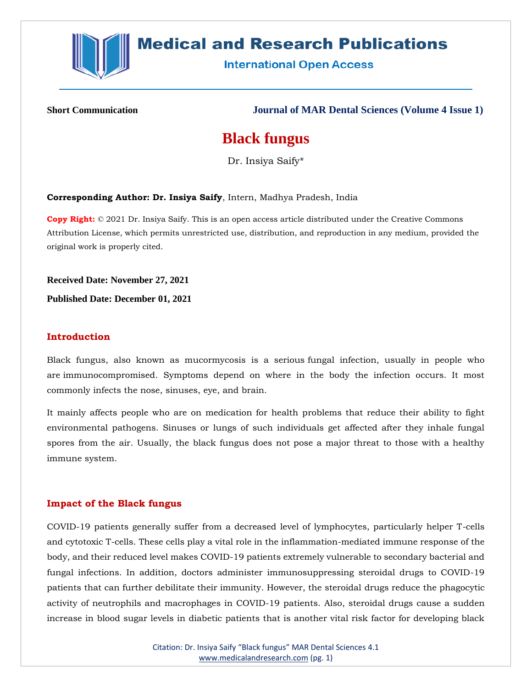

# **Medical and Research Publications**

**International Open Access** 

**Short Communication Journal of MAR Dental Sciences (Volume 4 Issue 1)**

## **Black fungus**

Dr. Insiya Saify\*

**Corresponding Author: Dr. Insiya Saify**, Intern, Madhya Pradesh, India

**Copy Right:** © 2021 Dr. Insiya Saify. This is an open access article distributed under the Creative Commons Attribution License, which permits unrestricted use, distribution, and reproduction in any medium, provided the original work is properly cited.

**Received Date: November 27, 2021**

**Published Date: December 01, 2021**

## **Introduction**

Black fungus, also known as mucormycosis is a serious fungal infection, usually in people who are immunocompromised. Symptoms depend on where in the body the infection occurs. It most commonly infects the nose, sinuses, eye, and brain.

It mainly affects people who are on medication for health problems that reduce their ability to fight environmental pathogens. Sinuses or lungs of such individuals get affected after they inhale fungal spores from the air. Usually, the black fungus does not pose a major threat to those with a healthy immune system.

#### **Impact of the Black fungus**

COVID-19 patients generally suffer from a decreased level of lymphocytes, particularly helper T-cells and cytotoxic T-cells. These cells play a vital role in the inflammation-mediated immune response of the body, and their reduced level makes COVID-19 patients extremely vulnerable to secondary bacterial and fungal infections. In addition, doctors administer immunosuppressing steroidal drugs to COVID-19 patients that can further debilitate their immunity. However, the steroidal drugs reduce the phagocytic activity of neutrophils and macrophages in COVID-19 patients. Also, steroidal drugs cause a sudden increase in blood sugar levels in diabetic patients that is another vital risk factor for developing black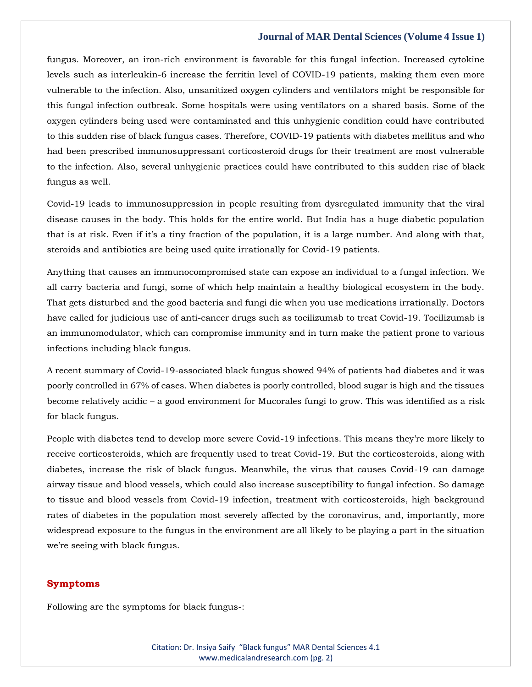#### **Journal of MAR Dental Sciences (Volume 4 Issue 1)**

fungus. Moreover, an iron-rich environment is favorable for this fungal infection. Increased cytokine levels such as interleukin-6 increase the ferritin level of COVID-19 patients, making them even more vulnerable to the infection. Also, unsanitized oxygen cylinders and ventilators might be responsible for this fungal infection outbreak. Some hospitals were using ventilators on a shared basis. Some of the oxygen cylinders being used were contaminated and this unhygienic condition could have contributed to this sudden rise of black fungus cases. Therefore, COVID-19 patients with diabetes mellitus and who had been prescribed immunosuppressant corticosteroid drugs for their treatment are most vulnerable to the infection. Also, several unhygienic practices could have contributed to this sudden rise of black fungus as well.

Covid-19 leads to immunosuppression in people resulting from dysregulated immunity that the viral disease causes in the body. This holds for the entire world. But India has a huge diabetic population that is at risk. Even if it's a tiny fraction of the population, it is a large number. And along with that, steroids and antibiotics are being used quite irrationally for Covid-19 patients.

Anything that causes an immunocompromised state can expose an individual to a fungal infection. We all carry bacteria and fungi, some of which help maintain a healthy biological ecosystem in the body. That gets disturbed and the good bacteria and fungi die when you use medications irrationally. Doctors have called for judicious use of anti-cancer drugs such as tocilizumab to treat Covid-19. Tocilizumab is an immunomodulator, which can compromise immunity and in turn make the patient prone to various infections including black fungus.

A recent summary of Covid-19-associated black fungus showed 94% of patients had diabetes and it was poorly controlled in 67% of cases. When diabetes is poorly controlled, blood sugar is high and the tissues become relatively acidic – a good environment for Mucorales fungi to grow. This was identified as a risk for black fungus.

People with diabetes tend to develop more severe Covid-19 infections. This means they're more likely to receive corticosteroids, which are frequently used to treat Covid-19. But the corticosteroids, along with diabetes, increase the risk of black fungus. Meanwhile, the virus that causes Covid-19 can damage airway tissue and blood vessels, which could also increase susceptibility to fungal infection. So damage to tissue and blood vessels from Covid-19 infection, treatment with corticosteroids, high background rates of diabetes in the population most severely affected by the coronavirus, and, importantly, more widespread exposure to the fungus in the environment are all likely to be playing a part in the situation we're seeing with black fungus.

## **Symptoms**

Following are the symptoms for black fungus-: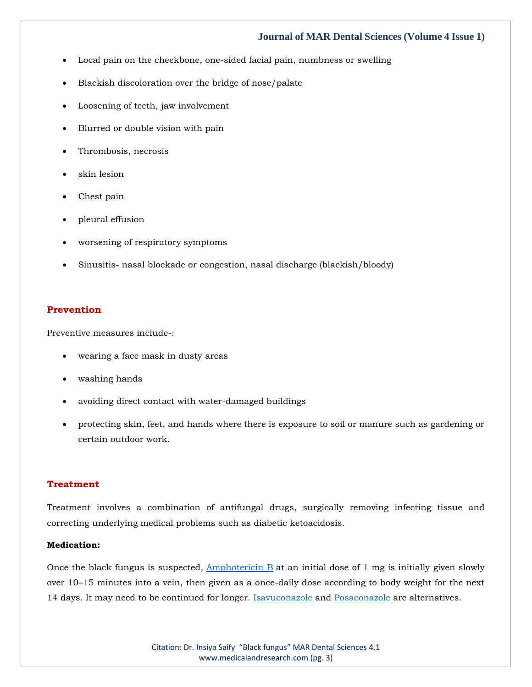#### **Journal of MAR Dental Sciences (Volume 4 Issue 1)**

- Local pain on the cheekbone, one-sided facial pain, numbness or swelling
- Blackish discoloration over the bridge of nose/palate
- Loosening of teeth, jaw involvement
- Blurred or double vision with pain
- Thrombosis, necrosis
- skin lesion
- Chest pain
- pleural effusion
- worsening of respiratory symptoms
- Sinusitis- nasal blockade or congestion, nasal discharge (blackish/bloody)

## **Prevention**

Preventive measures include-:

- wearing a face mask in dusty areas
- washing hands
- avoiding direct contact with water-damaged buildings
- protecting skin, feet, and hands where there is exposure to soil or manure such as gardening or certain outdoor work.

#### **Treatment**

Treatment involves a combination of antifungal drugs, surgically removing infecting tissue and correcting underlying medical problems such as diabetic ketoacidosis.

#### **Medication:**

Once the black fungus is suspected,  $\Delta$ mphotericin  $B$  at an initial dose of 1 mg is initially given slowly over 10–15 minutes into a vein, then given as a once-daily dose according to body weight for the next 14 days. It may need to be continued for longer. [Isavuconazole](https://en.m.wikipedia.org/wiki/Isavuconazole) and [Posaconazole](https://en.m.wikipedia.org/wiki/Posaconazole) are alternatives.